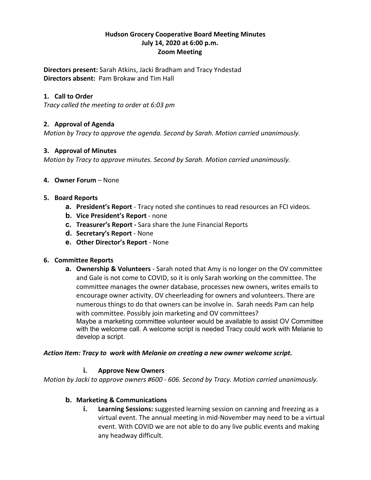### **Hudson Grocery Cooperative Board Meeting Minutes July 14, 2020 at 6:00 p.m. Zoom Meeting**

**Directors present:** Sarah Atkins, Jacki Bradham and Tracy Yndestad **Directors absent:** Pam Brokaw and Tim Hall

### **1. Call to Order**

*Tracy called the meeting to order at 6:03 pm*

# **2. Approval of Agenda**

*Motion by Tracy to approve the agenda. Second by Sarah. Motion carried unanimously.*

#### **3. Approval of Minutes**

*Motion by Tracy to approve minutes. Second by Sarah. Motion carried unanimously.*

#### **4. Owner Forum** – None

#### **5. Board Reports**

- **a. President's Report** Tracy noted she continues to read resources an FCI videos.
- **b. Vice President's Report** none
- **c. Treasurer's Report -** Sara share the June Financial Reports
- **d. Secretary's Report** None
- **e. Other Director's Report** None

#### **6. Committee Reports**

**a. Ownership & Volunteers** - Sarah noted that Amy is no longer on the OV committee and Gale is not come to COVID, so it is only Sarah working on the committee. The committee manages the owner database, processes new owners, writes emails to encourage owner activity. OV cheerleading for owners and volunteers. There are numerous things to do that owners can be involve in. Sarah needs Pam can help with committee. Possibly join marketing and OV committees? Maybe a marketing committee volunteer would be available to assist OV Committee with the welcome call. A welcome script is needed Tracy could work with Melanie to develop a script.

#### *Action Item: Tracy to work with Melanie on creating a new owner welcome script.*

#### **i. Approve New Owners**

*Motion by Jacki to approve owners #600 - 606. Second by Tracy. Motion carried unanimously.*

#### **b. Marketing & Communications**

**i. Learning Sessions:** suggested learning session on canning and freezing as a virtual event. The annual meeting in mid-November may need to be a virtual event. With COVID we are not able to do any live public events and making any headway difficult.